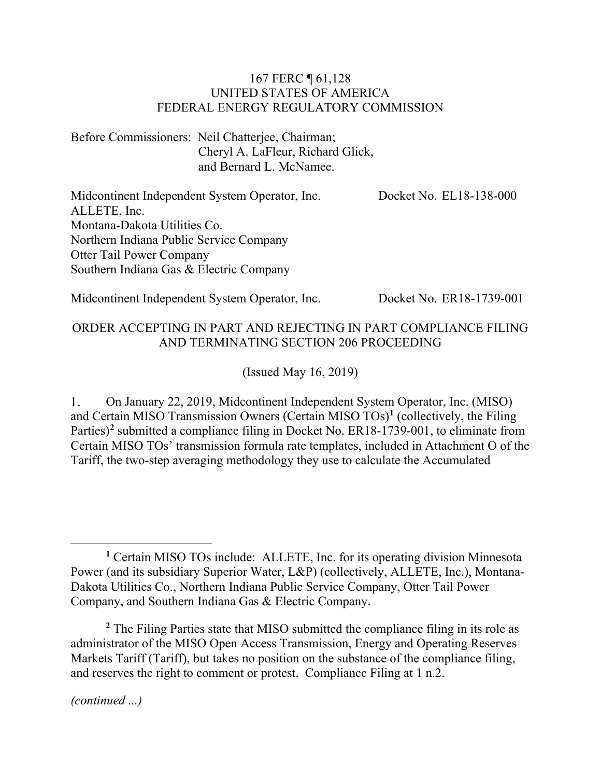#### 167 FERC ¶ 61,128 UNITED STATES OF AMERICA FEDERAL ENERGY REGULATORY COMMISSION

Before Commissioners: Neil Chatterjee, Chairman; Cheryl A. LaFleur, Richard Glick, and Bernard L. McNamee.

Midcontinent Independent System Operator, Inc. ALLETE, Inc. Montana-Dakota Utilities Co. Northern Indiana Public Service Company Otter Tail Power Company Southern Indiana Gas & Electric Company Docket No. EL18-138-000

Midcontinent Independent System Operator, Inc.

Docket No. ER18-1739-001

#### ORDER ACCEPTING IN PART AND REJECTING IN PART COMPLIANCE FILING AND TERMINATING SECTION 206 PROCEEDING

(Issued May 16, 2019)

 $1.$ On January 22, 2019, Midcontinent Independent System Operator, Inc. (MISO) and Certain MISO Transmission Owners (Certain MISO TOs)**[1](#page-0-0)** (collectively, the Filing Parties)<sup>[2](#page-0-1)</sup> submitted a compliance filing in Docket No. ER18-1739-001, to eliminate from Certain MISO TOs' transmission formula rate templates, included in Attachment O of the Tariff, the two-step averaging methodology they use to calculate the Accumulated

<span id="page-0-1"></span>**<sup>2</sup>** The Filing Parties state that MISO submitted the compliance filing in its role as administrator of the MISO Open Access Transmission, Energy and Operating Reserves Markets Tariff (Tariff), but takes no position on the substance of the compliance filing, and reserves the right to comment or protest. Compliance Filing at 1 n.2.

*(continued ...)*

 $\overline{a}$ 

<span id="page-0-0"></span>**<sup>1</sup>** Certain MISO TOs include: ALLETE, Inc. for its operating division Minnesota Power (and its subsidiary Superior Water, L&P) (collectively, ALLETE, Inc.), Montana-Dakota Utilities Co., Northern Indiana Public Service Company, Otter Tail Power Company, and Southern Indiana Gas & Electric Company.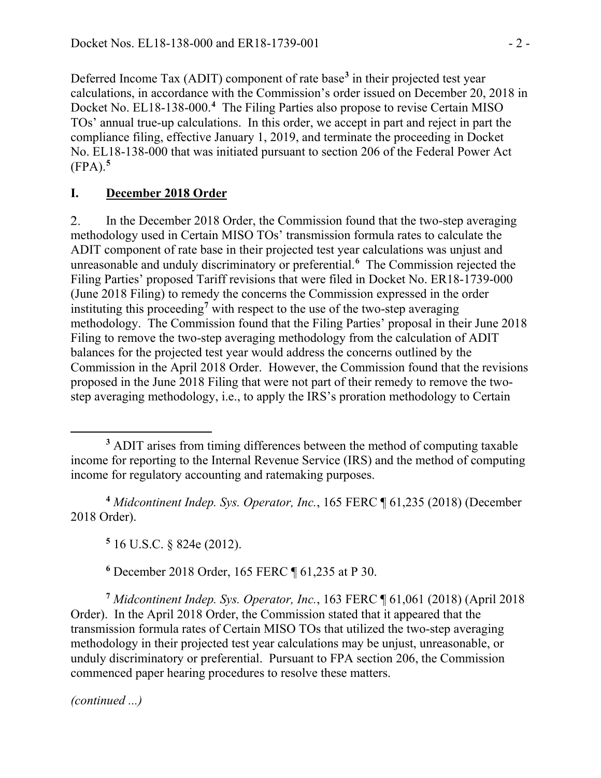Deferred Income Tax (ADIT) component of rate base**[3](#page-1-0)** in their projected test year calculations, in accordance with the Commission's order issued on December 20, 2018 in Docket No. EL18-138-000. **[4](#page-1-1)** The Filing Parties also propose to revise Certain MISO TOs' annual true-up calculations. In this order, we accept in part and reject in part the compliance filing, effective January 1, 2019, and terminate the proceeding in Docket No. EL18-138-000 that was initiated pursuant to section 206 of the Federal Power Act (FPA). **[5](#page-1-2)**

#### **I. December 2018 Order**

 $2.$ In the December 2018 Order, the Commission found that the two-step averaging methodology used in Certain MISO TOs' transmission formula rates to calculate the ADIT component of rate base in their projected test year calculations was unjust and unreasonable and unduly discriminatory or preferential. **[6](#page-1-3)** The Commission rejected the Filing Parties' proposed Tariff revisions that were filed in Docket No. ER18-1739-000 (June 2018 Filing) to remedy the concerns the Commission expressed in the order instituting this proceeding**[7](#page-1-4)** with respect to the use of the two-step averaging methodology. The Commission found that the Filing Parties' proposal in their June 2018 Filing to remove the two-step averaging methodology from the calculation of ADIT balances for the projected test year would address the concerns outlined by the Commission in the April 2018 Order. However, the Commission found that the revisions proposed in the June 2018 Filing that were not part of their remedy to remove the twostep averaging methodology, i.e., to apply the IRS's proration methodology to Certain

<span id="page-1-2"></span><span id="page-1-1"></span>**<sup>4</sup>** *Midcontinent Indep. Sys. Operator, Inc.*, 165 FERC ¶ 61,235 (2018) (December 2018 Order).

**<sup>5</sup>** 16 U.S.C. § 824e (2012).

**<sup>6</sup>** December 2018 Order, 165 FERC ¶ 61,235 at P 30.

<span id="page-1-4"></span><span id="page-1-3"></span>**<sup>7</sup>** *Midcontinent Indep. Sys. Operator, Inc.*, 163 FERC ¶ 61,061 (2018) (April 2018 Order). In the April 2018 Order, the Commission stated that it appeared that the transmission formula rates of Certain MISO TOs that utilized the two-step averaging methodology in their projected test year calculations may be unjust, unreasonable, or unduly discriminatory or preferential. Pursuant to FPA section 206, the Commission commenced paper hearing procedures to resolve these matters.

*(continued ...)*

 $\overline{a}$ 

<span id="page-1-0"></span>**<sup>3</sup>** ADIT arises from timing differences between the method of computing taxable income for reporting to the Internal Revenue Service (IRS) and the method of computing income for regulatory accounting and ratemaking purposes.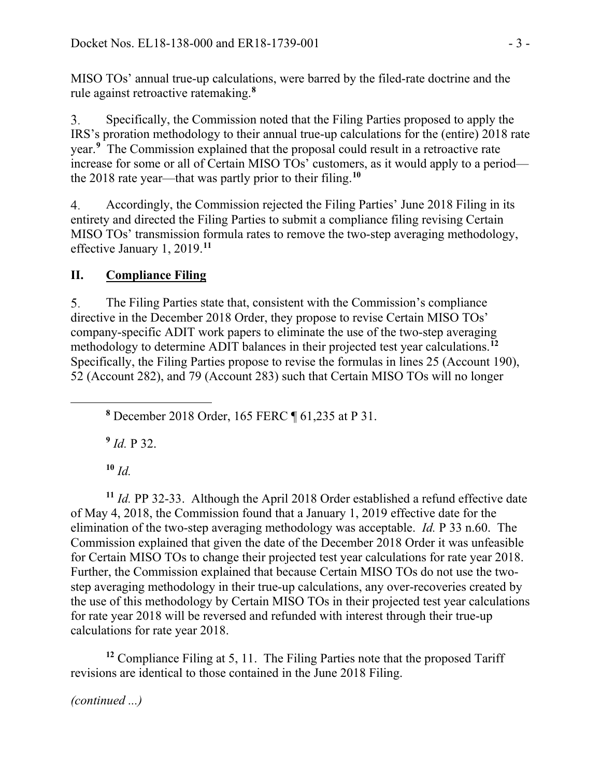MISO TOs' annual true-up calculations, were barred by the filed-rate doctrine and the rule against retroactive ratemaking.**[8](#page-2-0)**

Specifically, the Commission noted that the Filing Parties proposed to apply the 3. IRS's proration methodology to their annual true-up calculations for the (entire) 2018 rate year. **[9](#page-2-1)** The Commission explained that the proposal could result in a retroactive rate increase for some or all of Certain MISO TOs' customers, as it would apply to a period the 2018 rate year—that was partly prior to their filing. **[10](#page-2-2)**

 $\overline{4}$ . Accordingly, the Commission rejected the Filing Parties' June 2018 Filing in its entirety and directed the Filing Parties to submit a compliance filing revising Certain MISO TOs' transmission formula rates to remove the two-step averaging methodology, effective January 1, 2019.**[11](#page-2-3)**

## **II. Compliance Filing**

5. The Filing Parties state that, consistent with the Commission's compliance directive in the December 2018 Order, they propose to revise Certain MISO TOs' company-specific ADIT work papers to eliminate the use of the two-step averaging methodology to determine ADIT balances in their projected test year calculations.**[12](#page-2-4)** Specifically, the Filing Parties propose to revise the formulas in lines 25 (Account 190), 52 (Account 282), and 79 (Account 283) such that Certain MISO TOs will no longer

**<sup>8</sup>** December 2018 Order, 165 FERC ¶ 61,235 at P 31.

**<sup>9</sup>** *Id.* P 32.

**<sup>10</sup>** *Id.*

<span id="page-2-1"></span><span id="page-2-0"></span> $\overline{a}$ 

<span id="page-2-3"></span><span id="page-2-2"></span>**<sup>11</sup>** *Id.* PP 32-33. Although the April 2018 Order established a refund effective date of May 4, 2018, the Commission found that a January 1, 2019 effective date for the elimination of the two-step averaging methodology was acceptable. *Id.* P 33 n.60. The Commission explained that given the date of the December 2018 Order it was unfeasible for Certain MISO TOs to change their projected test year calculations for rate year 2018. Further, the Commission explained that because Certain MISO TOs do not use the twostep averaging methodology in their true-up calculations, any over-recoveries created by the use of this methodology by Certain MISO TOs in their projected test year calculations for rate year 2018 will be reversed and refunded with interest through their true-up calculations for rate year 2018.

<span id="page-2-4"></span>**<sup>12</sup>** Compliance Filing at 5, 11. The Filing Parties note that the proposed Tariff revisions are identical to those contained in the June 2018 Filing.

*(continued ...)*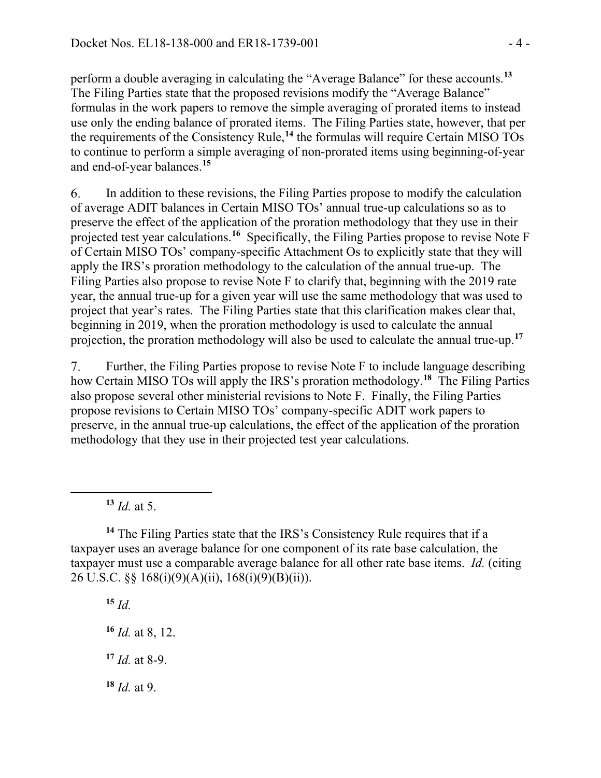perform a double averaging in calculating the "Average Balance" for these accounts.**[13](#page-3-0)** The Filing Parties state that the proposed revisions modify the "Average Balance" formulas in the work papers to remove the simple averaging of prorated items to instead use only the ending balance of prorated items. The Filing Parties state, however, that per the requirements of the Consistency Rule,**[14](#page-3-1)** the formulas will require Certain MISO TOs to continue to perform a simple averaging of non-prorated items using beginning-of-year and end-of-year balances.**[15](#page-3-2)**

6. In addition to these revisions, the Filing Parties propose to modify the calculation of average ADIT balances in Certain MISO TOs' annual true-up calculations so as to preserve the effect of the application of the proration methodology that they use in their projected test year calculations. **[16](#page-3-3)** Specifically, the Filing Parties propose to revise Note F of Certain MISO TOs' company-specific Attachment Os to explicitly state that they will apply the IRS's proration methodology to the calculation of the annual true-up. The Filing Parties also propose to revise Note F to clarify that, beginning with the 2019 rate year, the annual true-up for a given year will use the same methodology that was used to project that year's rates. The Filing Parties state that this clarification makes clear that, beginning in 2019, when the proration methodology is used to calculate the annual projection, the proration methodology will also be used to calculate the annual true-up.**[17](#page-3-4)**

Further, the Filing Parties propose to revise Note F to include language describing 7. how Certain MISO TOs will apply the IRS's proration methodology.**[18](#page-3-5)** The Filing Parties also propose several other ministerial revisions to Note F. Finally, the Filing Parties propose revisions to Certain MISO TOs' company-specific ADIT work papers to preserve, in the annual true-up calculations, the effect of the application of the proration methodology that they use in their projected test year calculations.

**<sup>13</sup>** *Id.* at 5.

<span id="page-3-0"></span>

<span id="page-3-2"></span><span id="page-3-1"></span>**<sup>14</sup>** The Filing Parties state that the IRS's Consistency Rule requires that if a taxpayer uses an average balance for one component of its rate base calculation, the taxpayer must use a comparable average balance for all other rate base items. *Id.* (citing 26 U.S.C. §§ 168(i)(9)(A)(ii), 168(i)(9)(B)(ii)).

**<sup>15</sup>** *Id.*

<span id="page-3-3"></span>**<sup>16</sup>** *Id.* at 8, 12.

<span id="page-3-4"></span>**<sup>17</sup>** *Id.* at 8-9.

<span id="page-3-5"></span>**<sup>18</sup>** *Id.* at 9.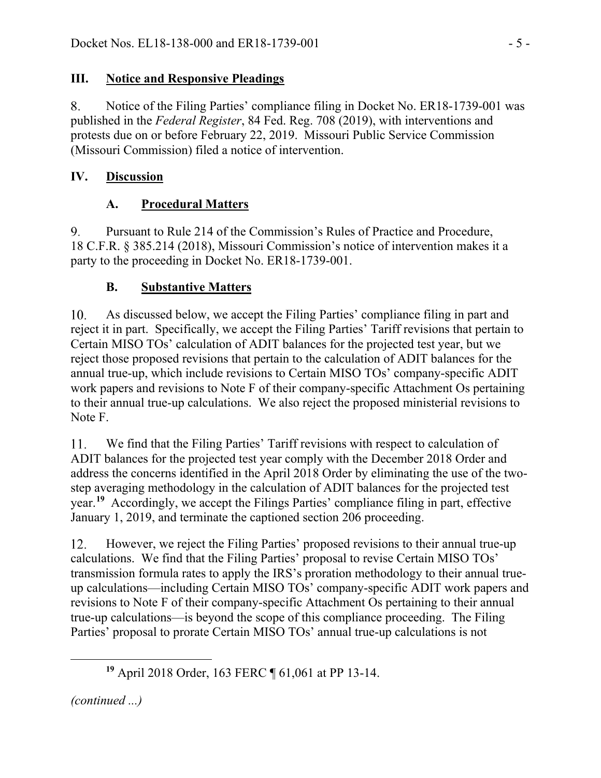### **III. Notice and Responsive Pleadings**

Notice of the Filing Parties' compliance filing in Docket No. ER18-1739-001 was 8. published in the *Federal Register*, 84 Fed. Reg. 708 (2019), with interventions and protests due on or before February 22, 2019. Missouri Public Service Commission (Missouri Commission) filed a notice of intervention.

## **IV. Discussion**

# **A. Procedural Matters**

9. Pursuant to Rule 214 of the Commission's Rules of Practice and Procedure, 18 C.F.R. § 385.214 (2018), Missouri Commission's notice of intervention makes it a party to the proceeding in Docket No. ER18-1739-001.

# **B. Substantive Matters**

10. As discussed below, we accept the Filing Parties' compliance filing in part and reject it in part. Specifically, we accept the Filing Parties' Tariff revisions that pertain to Certain MISO TOs' calculation of ADIT balances for the projected test year, but we reject those proposed revisions that pertain to the calculation of ADIT balances for the annual true-up, which include revisions to Certain MISO TOs' company-specific ADIT work papers and revisions to Note F of their company-specific Attachment Os pertaining to their annual true-up calculations. We also reject the proposed ministerial revisions to Note F.

We find that the Filing Parties' Tariff revisions with respect to calculation of  $11.$ ADIT balances for the projected test year comply with the December 2018 Order and address the concerns identified in the April 2018 Order by eliminating the use of the twostep averaging methodology in the calculation of ADIT balances for the projected test year.**[19](#page-4-0)** Accordingly, we accept the Filings Parties' compliance filing in part, effective January 1, 2019, and terminate the captioned section 206 proceeding.

12. However, we reject the Filing Parties' proposed revisions to their annual true-up calculations. We find that the Filing Parties' proposal to revise Certain MISO TOs' transmission formula rates to apply the IRS's proration methodology to their annual trueup calculations—including Certain MISO TOs' company-specific ADIT work papers and revisions to Note F of their company-specific Attachment Os pertaining to their annual true-up calculations—is beyond the scope of this compliance proceeding. The Filing Parties' proposal to prorate Certain MISO TOs' annual true-up calculations is not

*(continued ...)*

<span id="page-4-0"></span> $\overline{a}$ 

**<sup>19</sup>** April 2018 Order, 163 FERC ¶ 61,061 at PP 13-14.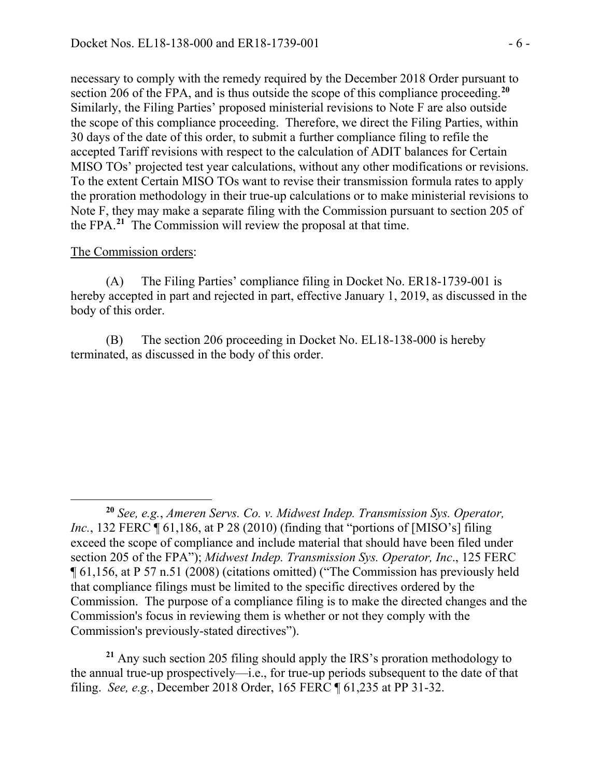necessary to comply with the remedy required by the December 2018 Order pursuant to section 206 of the FPA, and is thus outside the scope of this compliance proceeding.**[20](#page-5-0)** Similarly, the Filing Parties' proposed ministerial revisions to Note F are also outside the scope of this compliance proceeding. Therefore, we direct the Filing Parties, within 30 days of the date of this order, to submit a further compliance filing to refile the accepted Tariff revisions with respect to the calculation of ADIT balances for Certain MISO TOs' projected test year calculations, without any other modifications or revisions. To the extent Certain MISO TOs want to revise their transmission formula rates to apply the proration methodology in their true-up calculations or to make ministerial revisions to Note F, they may make a separate filing with the Commission pursuant to section 205 of the FPA.**[21](#page-5-1)** The Commission will review the proposal at that time.

#### The Commission orders:

(A) The Filing Parties' compliance filing in Docket No. ER18-1739-001 is hereby accepted in part and rejected in part, effective January 1, 2019, as discussed in the body of this order.

(B) The section 206 proceeding in Docket No. EL18-138-000 is hereby terminated, as discussed in the body of this order.

<span id="page-5-0"></span>**<sup>20</sup>** *See, e.g.*, *Ameren Servs. Co. v. Midwest Indep. Transmission Sys. Operator, Inc.*, 132 FERC **[61,186, at P 28 (2010)** (finding that "portions of [MISO's] filing exceed the scope of compliance and include material that should have been filed under section 205 of the FPA"); *[Midwest Indep. Transmission Sys. Operator, Inc](http://www.westlaw.com/Link/Document/FullText?findType=Y&serNum=2017431897&pubNum=0000920&originatingDoc=I46be92ebef1e11e5a795ac035416da91&refType=CA&originationContext=document&vr=3.0&rs=cblt1.0&transitionType=DocumentItem&contextData=(sc.Search))*., 125 FERC ¶ [61,156,](http://www.westlaw.com/Link/Document/FullText?findType=Y&serNum=2017431897&pubNum=0000920&originatingDoc=I46be92ebef1e11e5a795ac035416da91&refType=CA&originationContext=document&vr=3.0&rs=cblt1.0&transitionType=DocumentItem&contextData=(sc.Search)) at P 57 n.51 (2008) (citations omitted) ("The Commission has previously held that compliance filings must be limited to the specific directives ordered by the Commission. The purpose of a compliance filing is to make the directed changes and the Commission's focus in reviewing them is whether or not they comply with the Commission's previously-stated directives").

<span id="page-5-1"></span>**<sup>21</sup>** Any such section 205 filing should apply the IRS's proration methodology to the annual true-up prospectively—i.e., for true-up periods subsequent to the date of that filing. *See, e.g.*, December 2018 Order, 165 FERC ¶ 61,235 at PP 31-32.